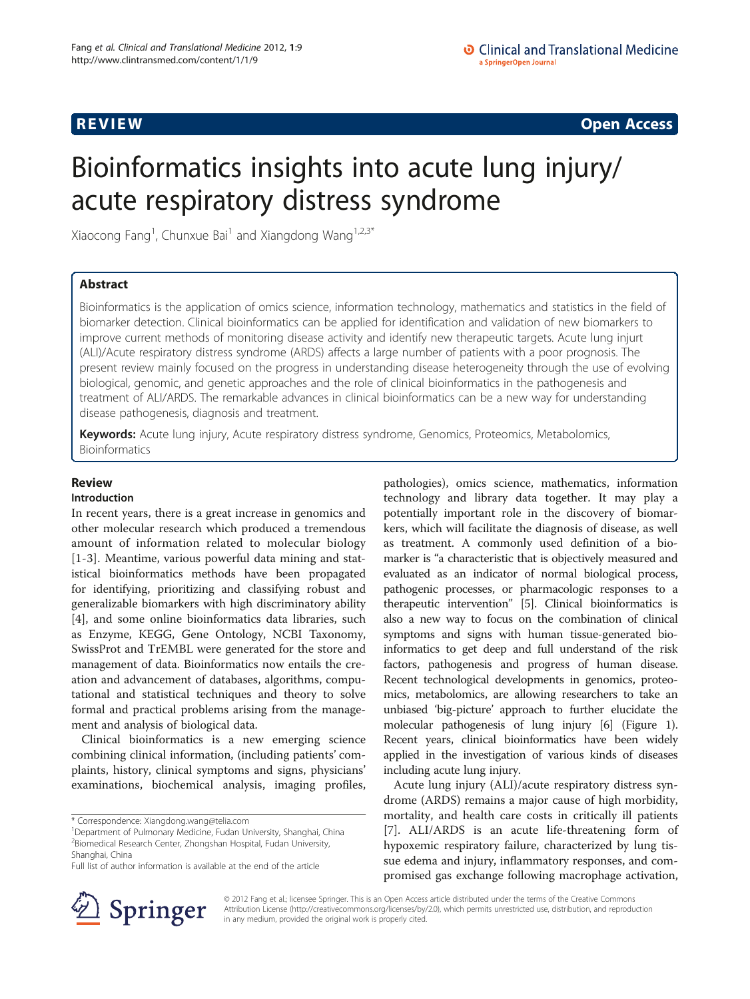# R EVI EW OPEN ACCESS OF THE EW OPEN ACCESS OF THE EWO ARE ALL THE EWO ARE ALL THE EWO ARE ALL THE EWO ARE ALL

# Bioinformatics insights into acute lung injury/ acute respiratory distress syndrome

Xiaocong Fang<sup>1</sup>, Chunxue Bai<sup>1</sup> and Xiangdong Wang<sup>1,2,3\*</sup>

# **Abstract**

Bioinformatics is the application of omics science, information technology, mathematics and statistics in the field of biomarker detection. Clinical bioinformatics can be applied for identification and validation of new biomarkers to improve current methods of monitoring disease activity and identify new therapeutic targets. Acute lung injurt (ALI)/Acute respiratory distress syndrome (ARDS) affects a large number of patients with a poor prognosis. The present review mainly focused on the progress in understanding disease heterogeneity through the use of evolving biological, genomic, and genetic approaches and the role of clinical bioinformatics in the pathogenesis and treatment of ALI/ARDS. The remarkable advances in clinical bioinformatics can be a new way for understanding disease pathogenesis, diagnosis and treatment.

Keywords: Acute lung injury, Acute respiratory distress syndrome, Genomics, Proteomics, Metabolomics, Bioinformatics

# **Review**

# Introduction

In recent years, there is a great increase in genomics and other molecular research which produced a tremendous amount of information related to molecular biology [[1](#page-6-0)-[3](#page-6-0)]. Meantime, various powerful data mining and statistical bioinformatics methods have been propagated for identifying, prioritizing and classifying robust and generalizable biomarkers with high discriminatory ability [[4\]](#page-6-0), and some online bioinformatics data libraries, such as Enzyme, KEGG, Gene Ontology, NCBI Taxonomy, SwissProt and TrEMBL were generated for the store and management of data. Bioinformatics now entails the creation and advancement of databases, algorithms, computational and statistical techniques and theory to solve formal and practical problems arising from the management and analysis of biological data.

Clinical bioinformatics is a new emerging science combining clinical information, (including patients' complaints, history, clinical symptoms and signs, physicians' examinations, biochemical analysis, imaging profiles,

\* Correspondence: [Xiangdong.wang@telia.com](mailto:Xiangdong.wang@telia.com) <sup>1</sup>

pathologies), omics science, mathematics, information technology and library data together. It may play a potentially important role in the discovery of biomarkers, which will facilitate the diagnosis of disease, as well as treatment. A commonly used definition of a biomarker is "a characteristic that is objectively measured and evaluated as an indicator of normal biological process, pathogenic processes, or pharmacologic responses to a therapeutic intervention" [[5](#page-6-0)]. Clinical bioinformatics is also a new way to focus on the combination of clinical symptoms and signs with human tissue-generated bioinformatics to get deep and full understand of the risk factors, pathogenesis and progress of human disease. Recent technological developments in genomics, proteomics, metabolomics, are allowing researchers to take an unbiased 'big-picture' approach to further elucidate the molecular pathogenesis of lung injury [\[6](#page-6-0)] (Figure [1](#page-1-0)). Recent years, clinical bioinformatics have been widely applied in the investigation of various kinds of diseases including acute lung injury.

Acute lung injury (ALI)/acute respiratory distress syndrome (ARDS) remains a major cause of high morbidity, mortality, and health care costs in critically ill patients [[7\]](#page-6-0). ALI/ARDS is an acute life-threatening form of hypoxemic respiratory failure, characterized by lung tissue edema and injury, inflammatory responses, and compromised gas exchange following macrophage activation,



© 2012 Fang et al.; licensee Springer. This is an Open Access article distributed under the terms of the Creative Commons Attribution License [\(http://creativecommons.org/licenses/by/2.0\)](http://creativecommons.org/licenses/by/2.0), which permits unrestricted use, distribution, and reproduction in any medium, provided the original work is properly cited.

<sup>&</sup>lt;sup>1</sup>Department of Pulmonary Medicine, Fudan University, Shanghai, China <sup>2</sup> Biomedical Research Center, Zhongshan Hospital, Fudan University, Shanghai, China

Full list of author information is available at the end of the article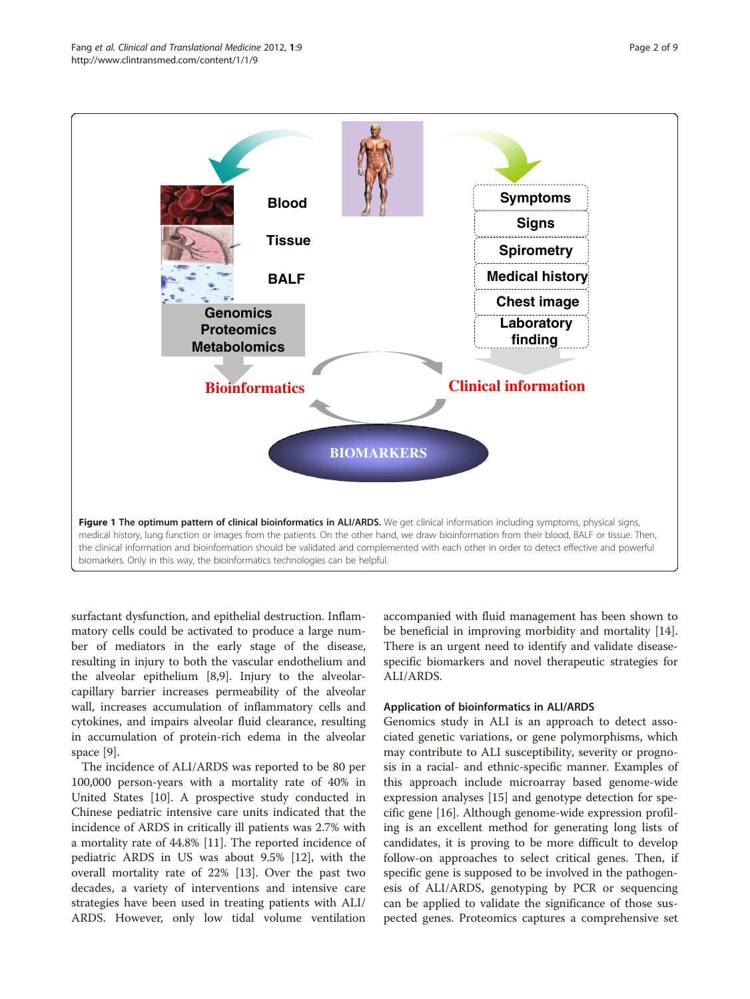<span id="page-1-0"></span>

surfactant dysfunction, and epithelial destruction. Inflammatory cells could be activated to produce a large number of mediators in the early stage of the disease, resulting in injury to both the vascular endothelium and the alveolar epithelium [\[8,9\]](#page-6-0). Injury to the alveolarcapillary barrier increases permeability of the alveolar wall, increases accumulation of inflammatory cells and cytokines, and impairs alveolar fluid clearance, resulting in accumulation of protein-rich edema in the alveolar space [[9\]](#page-6-0).

The incidence of ALI/ARDS was reported to be 80 per 100,000 person-years with a mortality rate of 40% in United States [[10](#page-6-0)]. A prospective study conducted in Chinese pediatric intensive care units indicated that the incidence of ARDS in critically ill patients was 2.7% with a mortality rate of 44.8% [[11\]](#page-6-0). The reported incidence of pediatric ARDS in US was about 9.5% [\[12](#page-6-0)], with the overall mortality rate of 22% [\[13\]](#page-6-0). Over the past two decades, a variety of interventions and intensive care strategies have been used in treating patients with ALI/ ARDS. However, only low tidal volume ventilation accompanied with fluid management has been shown to be beneficial in improving morbidity and mortality [\[14](#page-6-0)]. There is an urgent need to identify and validate diseasespecific biomarkers and novel therapeutic strategies for ALI/ARDS.

## Application of bioinformatics in ALI/ARDS

Genomics study in ALI is an approach to detect associated genetic variations, or gene polymorphisms, which may contribute to ALI susceptibility, severity or prognosis in a racial- and ethnic-specific manner. Examples of this approach include microarray based genome-wide expression analyses [[15\]](#page-6-0) and genotype detection for specific gene [[16](#page-6-0)]. Although genome-wide expression profiling is an excellent method for generating long lists of candidates, it is proving to be more difficult to develop follow-on approaches to select critical genes. Then, if specific gene is supposed to be involved in the pathogenesis of ALI/ARDS, genotyping by PCR or sequencing can be applied to validate the significance of those suspected genes. Proteomics captures a comprehensive set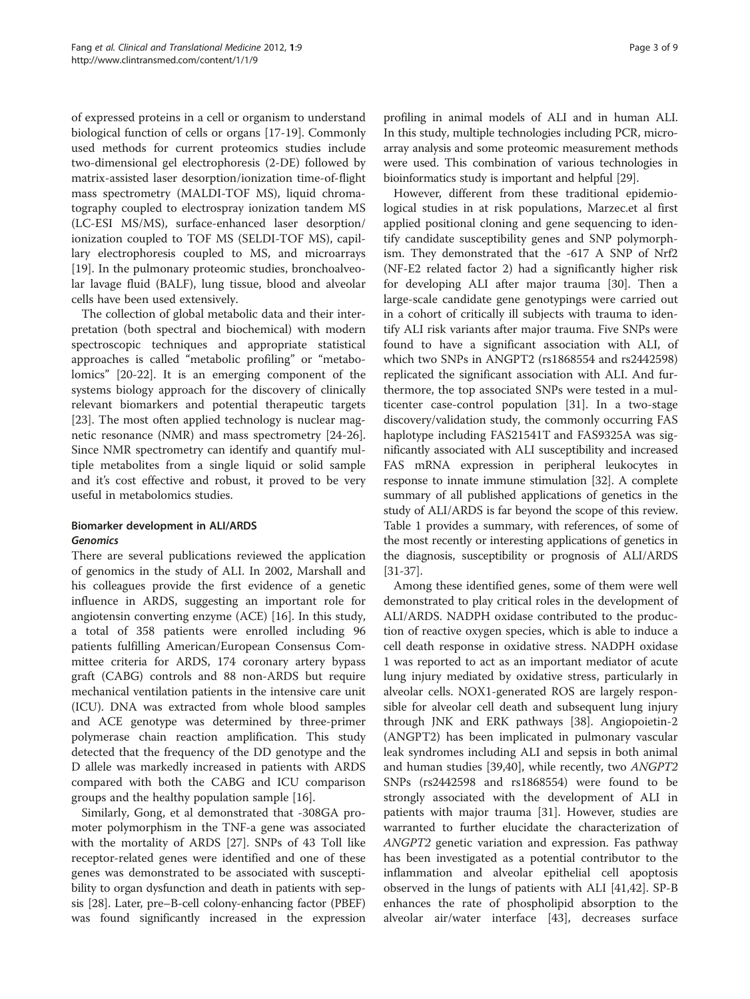of expressed proteins in a cell or organism to understand biological function of cells or organs [\[17](#page-6-0)-[19\]](#page-6-0). Commonly used methods for current proteomics studies include two-dimensional gel electrophoresis (2-DE) followed by matrix-assisted laser desorption/ionization time-of-flight mass spectrometry (MALDI-TOF MS), liquid chromatography coupled to electrospray ionization tandem MS (LC-ESI MS/MS), surface-enhanced laser desorption/ ionization coupled to TOF MS (SELDI-TOF MS), capillary electrophoresis coupled to MS, and microarrays [[19\]](#page-6-0). In the pulmonary proteomic studies, bronchoalveolar lavage fluid (BALF), lung tissue, blood and alveolar cells have been used extensively.

The collection of global metabolic data and their interpretation (both spectral and biochemical) with modern spectroscopic techniques and appropriate statistical approaches is called "metabolic profiling" or "metabolomics" [[20](#page-6-0)-[22\]](#page-6-0). It is an emerging component of the systems biology approach for the discovery of clinically relevant biomarkers and potential therapeutic targets [[23\]](#page-6-0). The most often applied technology is nuclear magnetic resonance (NMR) and mass spectrometry [[24-26](#page-6-0)]. Since NMR spectrometry can identify and quantify multiple metabolites from a single liquid or solid sample and it's cost effective and robust, it proved to be very useful in metabolomics studies.

# Biomarker development in ALI/ARDS Genomics

There are several publications reviewed the application of genomics in the study of ALI. In 2002, Marshall and his colleagues provide the first evidence of a genetic influence in ARDS, suggesting an important role for angiotensin converting enzyme (ACE) [[16\]](#page-6-0). In this study, a total of 358 patients were enrolled including 96 patients fulfilling American/European Consensus Committee criteria for ARDS, 174 coronary artery bypass graft (CABG) controls and 88 non-ARDS but require mechanical ventilation patients in the intensive care unit (ICU). DNA was extracted from whole blood samples and ACE genotype was determined by three-primer polymerase chain reaction amplification. This study detected that the frequency of the DD genotype and the D allele was markedly increased in patients with ARDS compared with both the CABG and ICU comparison groups and the healthy population sample [\[16](#page-6-0)].

Similarly, Gong, et al demonstrated that -308GA promoter polymorphism in the TNF-a gene was associated with the mortality of ARDS [[27\]](#page-6-0). SNPs of 43 Toll like receptor-related genes were identified and one of these genes was demonstrated to be associated with susceptibility to organ dysfunction and death in patients with sepsis [\[28\]](#page-6-0). Later, pre–B-cell colony-enhancing factor (PBEF) was found significantly increased in the expression

profiling in animal models of ALI and in human ALI. In this study, multiple technologies including PCR, microarray analysis and some proteomic measurement methods were used. This combination of various technologies in bioinformatics study is important and helpful [[29](#page-6-0)].

However, different from these traditional epidemiological studies in at risk populations, Marzec.et al first applied positional cloning and gene sequencing to identify candidate susceptibility genes and SNP polymorphism. They demonstrated that the -617 A SNP of Nrf2 (NF-E2 related factor 2) had a significantly higher risk for developing ALI after major trauma [[30\]](#page-7-0). Then a large-scale candidate gene genotypings were carried out in a cohort of critically ill subjects with trauma to identify ALI risk variants after major trauma. Five SNPs were found to have a significant association with ALI, of which two SNPs in ANGPT2 (rs1868554 and rs2442598) replicated the significant association with ALI. And furthermore, the top associated SNPs were tested in a multicenter case-control population [\[31](#page-7-0)]. In a two-stage discovery/validation study, the commonly occurring FAS haplotype including FAS21541T and FAS9325A was significantly associated with ALI susceptibility and increased FAS mRNA expression in peripheral leukocytes in response to innate immune stimulation [[32\]](#page-7-0). A complete summary of all published applications of genetics in the study of ALI/ARDS is far beyond the scope of this review. Table [1](#page-3-0) provides a summary, with references, of some of the most recently or interesting applications of genetics in the diagnosis, susceptibility or prognosis of ALI/ARDS [[31](#page-7-0)-[37\]](#page-7-0).

Among these identified genes, some of them were well demonstrated to play critical roles in the development of ALI/ARDS. NADPH oxidase contributed to the production of reactive oxygen species, which is able to induce a cell death response in oxidative stress. NADPH oxidase 1 was reported to act as an important mediator of acute lung injury mediated by oxidative stress, particularly in alveolar cells. NOX1-generated ROS are largely responsible for alveolar cell death and subsequent lung injury through JNK and ERK pathways [\[38\]](#page-7-0). Angiopoietin-2 (ANGPT2) has been implicated in pulmonary vascular leak syndromes including ALI and sepsis in both animal and human studies [[39,40](#page-7-0)], while recently, two ANGPT2 SNPs (rs2442598 and rs1868554) were found to be strongly associated with the development of ALI in patients with major trauma [\[31](#page-7-0)]. However, studies are warranted to further elucidate the characterization of ANGPT2 genetic variation and expression. Fas pathway has been investigated as a potential contributor to the inflammation and alveolar epithelial cell apoptosis observed in the lungs of patients with ALI [\[41,42\]](#page-7-0). SP-B enhances the rate of phospholipid absorption to the alveolar air/water interface [\[43\]](#page-7-0), decreases surface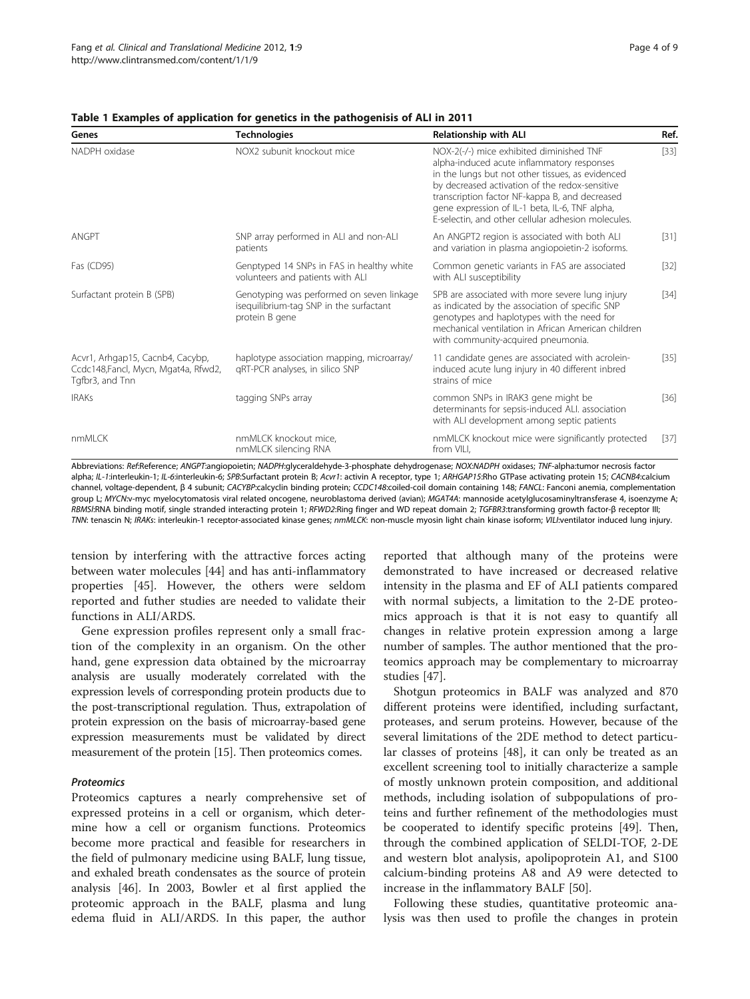| Genes                                                                                      | <b>Technologies</b>                                                                                    | Relationship with ALI                                                                                                                                                                                                                                                                                                                                  | Ref.   |
|--------------------------------------------------------------------------------------------|--------------------------------------------------------------------------------------------------------|--------------------------------------------------------------------------------------------------------------------------------------------------------------------------------------------------------------------------------------------------------------------------------------------------------------------------------------------------------|--------|
| NADPH oxidase                                                                              | NOX2 subunit knockout mice                                                                             | NOX-2(-/-) mice exhibited diminished TNF<br>alpha-induced acute inflammatory responses<br>in the lungs but not other tissues, as evidenced<br>by decreased activation of the redox-sensitive<br>transcription factor NF-kappa B, and decreased<br>gene expression of IL-1 beta, IL-6, TNF alpha,<br>E-selectin, and other cellular adhesion molecules. | $[33]$ |
| ANGPT                                                                                      | SNP array performed in ALI and non-ALI<br>patients                                                     | An ANGPT2 region is associated with both ALI<br>and variation in plasma angiopoietin-2 isoforms.                                                                                                                                                                                                                                                       | $[31]$ |
| Fas (CD95)                                                                                 | Genptyped 14 SNPs in FAS in healthy white<br>volunteers and patients with ALI                          | Common genetic variants in FAS are associated<br>with ALI susceptibility                                                                                                                                                                                                                                                                               | $[32]$ |
| Surfactant protein B (SPB)                                                                 | Genotyping was performed on seven linkage<br>isequilibrium-tag SNP in the surfactant<br>protein B gene | SPB are associated with more severe lung injury<br>as indicated by the association of specific SNP<br>genotypes and haplotypes with the need for<br>mechanical ventilation in African American children<br>with community-acquired pneumonia.                                                                                                          | $[34]$ |
| Acvr1, Arhgap15, Cacnb4, Cacybp,<br>Ccdc148,Fancl, Mycn, Mgat4a, Rfwd2,<br>Tgfbr3, and Tnn | haplotype association mapping, microarray/<br>qRT-PCR analyses, in silico SNP                          | 11 candidate genes are associated with acrolein-<br>induced acute lung injury in 40 different inbred<br>strains of mice                                                                                                                                                                                                                                | $[35]$ |
| <b>IRAKs</b>                                                                               | tagging SNPs array                                                                                     | common SNPs in IRAK3 gene might be<br>determinants for sepsis-induced ALI. association<br>with ALI development among septic patients                                                                                                                                                                                                                   | $[36]$ |
| nmMLCK                                                                                     | nmMLCK knockout mice.<br>nmMLCK silencing RNA                                                          | nmMLCK knockout mice were significantly protected<br>from VILI.                                                                                                                                                                                                                                                                                        | $[37]$ |

<span id="page-3-0"></span>Table 1 Examples of application for genetics in the pathogenisis of ALL in 2011

Abbreviations: Ref:Reference; ANGPT:angiopoietin; NADPH:glyceraldehyde-3-phosphate dehydrogenase; NOX:NADPH oxidases; TNF-alpha:tumor necrosis factor alpha; IL-1:interleukin-1; IL-6:interleukin-6; SPB:Surfactant protein B; Acvr1: activin A receptor, type 1; ARHGAP15:Rho GTPase activating protein 15; CACNB4:calcium channel, voltage-dependent, β 4 subunit; CACYBP:calcyclin binding protein; CCDC148:coiled-coil domain containing 148; FANCL: Fanconi anemia, complementation group L; MYCN:v-myc myelocytomatosis viral related oncogene, neuroblastoma derived (avian); MGAT4A: mannoside acetylglucosaminyltransferase 4, isoenzyme A; RBMSl:RNA binding motif, single stranded interacting protein 1; RFWD2:Ring finger and WD repeat domain 2; TGFBR3:transforming growth factor-β receptor III; TNN: tenascin N; IRAKs: interleukin-1 receptor-associated kinase genes; nmMLCK: non-muscle myosin light chain kinase isoform; VILI:ventilator induced lung injury.

tension by interfering with the attractive forces acting between water molecules [[44\]](#page-7-0) and has anti-inflammatory properties [\[45](#page-7-0)]. However, the others were seldom reported and futher studies are needed to validate their functions in ALI/ARDS.

Gene expression profiles represent only a small fraction of the complexity in an organism. On the other hand, gene expression data obtained by the microarray analysis are usually moderately correlated with the expression levels of corresponding protein products due to the post-transcriptional regulation. Thus, extrapolation of protein expression on the basis of microarray-based gene expression measurements must be validated by direct measurement of the protein [[15](#page-6-0)]. Then proteomics comes.

## Proteomics

Proteomics captures a nearly comprehensive set of expressed proteins in a cell or organism, which determine how a cell or organism functions. Proteomics become more practical and feasible for researchers in the field of pulmonary medicine using BALF, lung tissue, and exhaled breath condensates as the source of protein analysis [[46\]](#page-7-0). In 2003, Bowler et al first applied the proteomic approach in the BALF, plasma and lung edema fluid in ALI/ARDS. In this paper, the author

reported that although many of the proteins were demonstrated to have increased or decreased relative intensity in the plasma and EF of ALI patients compared with normal subjects, a limitation to the 2-DE proteomics approach is that it is not easy to quantify all changes in relative protein expression among a large number of samples. The author mentioned that the proteomics approach may be complementary to microarray studies [\[47\]](#page-7-0).

Shotgun proteomics in BALF was analyzed and 870 different proteins were identified, including surfactant, proteases, and serum proteins. However, because of the several limitations of the 2DE method to detect particular classes of proteins [[48](#page-7-0)], it can only be treated as an excellent screening tool to initially characterize a sample of mostly unknown protein composition, and additional methods, including isolation of subpopulations of proteins and further refinement of the methodologies must be cooperated to identify specific proteins [[49\]](#page-7-0). Then, through the combined application of SELDI-TOF, 2-DE and western blot analysis, apolipoprotein A1, and S100 calcium-binding proteins A8 and A9 were detected to increase in the inflammatory BALF [[50\]](#page-7-0).

Following these studies, quantitative proteomic analysis was then used to profile the changes in protein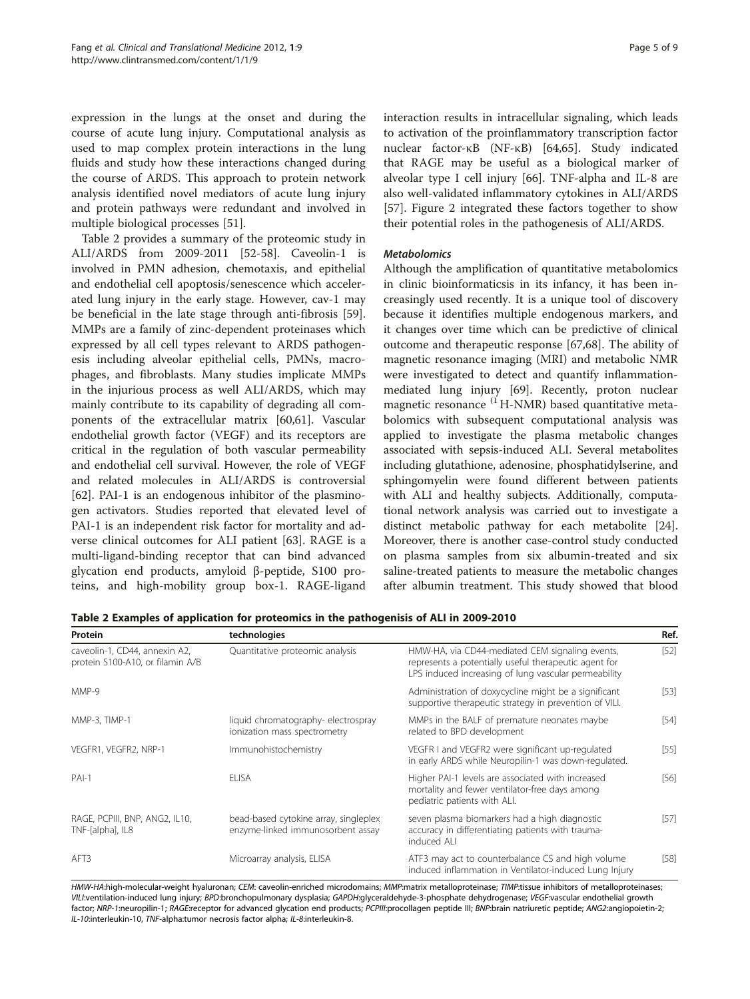expression in the lungs at the onset and during the course of acute lung injury. Computational analysis as used to map complex protein interactions in the lung fluids and study how these interactions changed during the course of ARDS. This approach to protein network analysis identified novel mediators of acute lung injury and protein pathways were redundant and involved in multiple biological processes [\[51](#page-7-0)].

Table 2 provides a summary of the proteomic study in ALI/ARDS from 2009-2011 [[52-58](#page-7-0)]. Caveolin-1 is involved in PMN adhesion, chemotaxis, and epithelial and endothelial cell apoptosis/senescence which accelerated lung injury in the early stage. However, cav-1 may be beneficial in the late stage through anti-fibrosis [\[59](#page-7-0)]. MMPs are a family of zinc-dependent proteinases which expressed by all cell types relevant to ARDS pathogenesis including alveolar epithelial cells, PMNs, macrophages, and fibroblasts. Many studies implicate MMPs in the injurious process as well ALI/ARDS, which may mainly contribute to its capability of degrading all components of the extracellular matrix [\[60,61](#page-7-0)]. Vascular endothelial growth factor (VEGF) and its receptors are critical in the regulation of both vascular permeability and endothelial cell survival. However, the role of VEGF and related molecules in ALI/ARDS is controversial [[62\]](#page-7-0). PAI-1 is an endogenous inhibitor of the plasminogen activators. Studies reported that elevated level of PAI-1 is an independent risk factor for mortality and adverse clinical outcomes for ALI patient [\[63](#page-7-0)]. RAGE is a multi-ligand-binding receptor that can bind advanced glycation end products, amyloid β-peptide, S100 proteins, and high-mobility group box-1. RAGE-ligand interaction results in intracellular signaling, which leads to activation of the proinflammatory transcription factor nuclear factor-κB (NF-κB) [\[64,65](#page-7-0)]. Study indicated that RAGE may be useful as a biological marker of alveolar type I cell injury [[66\]](#page-7-0). TNF-alpha and IL-8 are also well-validated inflammatory cytokines in ALI/ARDS [[57\]](#page-7-0). Figure [2](#page-5-0) integrated these factors together to show their potential roles in the pathogenesis of ALI/ARDS.

# Metabolomics

Although the amplification of quantitative metabolomics in clinic bioinformaticsis in its infancy, it has been increasingly used recently. It is a unique tool of discovery because it identifies multiple endogenous markers, and it changes over time which can be predictive of clinical outcome and therapeutic response [\[67,68\]](#page-7-0). The ability of magnetic resonance imaging (MRI) and metabolic NMR were investigated to detect and quantify inflammationmediated lung injury [[69\]](#page-8-0). Recently, proton nuclear magnetic resonance  ${}^{(1)}$  H-NMR) based quantitative metabolomics with subsequent computational analysis was applied to investigate the plasma metabolic changes associated with sepsis-induced ALI. Several metabolites including glutathione, adenosine, phosphatidylserine, and sphingomyelin were found different between patients with ALI and healthy subjects. Additionally, computational network analysis was carried out to investigate a distinct metabolic pathway for each metabolite [[24](#page-6-0)]. Moreover, there is another case-control study conducted on plasma samples from six albumin-treated and six saline-treated patients to measure the metabolic changes after albumin treatment. This study showed that blood

| <b>Protein</b>                                                    | technologies                                                               |                                                                                                                                                                  | Ref.   |
|-------------------------------------------------------------------|----------------------------------------------------------------------------|------------------------------------------------------------------------------------------------------------------------------------------------------------------|--------|
| caveolin-1, CD44, annexin A2,<br>protein S100-A10, or filamin A/B | Quantitative proteomic analysis                                            | HMW-HA, via CD44-mediated CEM signaling events,<br>represents a potentially useful therapeutic agent for<br>LPS induced increasing of lung vascular permeability | $[52]$ |
| MMP-9                                                             |                                                                            | Administration of doxycycline might be a significant<br>supportive therapeutic strategy in prevention of VILI.                                                   | $[53]$ |
| MMP-3, TIMP-1                                                     | liquid chromatography-electrospray<br>ionization mass spectrometry         | MMPs in the BALF of premature neonates maybe<br>related to BPD development                                                                                       | [54]   |
| VEGFR1, VEGFR2, NRP-1                                             | Immunohistochemistry                                                       | VEGFR I and VEGFR2 were significant up-regulated<br>in early ARDS while Neuropilin-1 was down-regulated.                                                         | [55]   |
| $PAI-1$                                                           | <b>ELISA</b>                                                               | Higher PAI-1 levels are associated with increased<br>mortality and fewer ventilator-free days among<br>pediatric patients with ALI.                              | [56]   |
| RAGE, PCPIII, BNP, ANG2, IL10,<br>TNF-[alpha], IL8                | bead-based cytokine array, singleplex<br>enzyme-linked immunosorbent assay | seven plasma biomarkers had a high diagnostic<br>accuracy in differentiating patients with trauma-<br>induced ALI                                                | $[57]$ |
| AFT3                                                              | Microarray analysis, ELISA                                                 | ATF3 may act to counterbalance CS and high volume<br>induced inflammation in Ventilator-induced Lung Injury                                                      | [58]   |

Table 2 Examples of application for proteomics in the pathogenisis of ALI in 2009-2010

HMW-HA:high-molecular-weight hyaluronan; CEM: caveolin-enriched microdomains; MMP:matrix metalloproteinase; TIMP:tissue inhibitors of metalloproteinases; VILI:ventilation-induced lung injury; BPD:bronchopulmonary dysplasia; GAPDH:glyceraldehyde-3-phosphate dehydrogenase; VEGF:vascular endothelial growth factor; NRP-1:neuropilin-1; RAGE:receptor for advanced glycation end products; PCPIII:procollagen peptide III; BNP:brain natriuretic peptide; ANG2:angiopoietin-2; IL-10:interleukin-10, TNF-alpha:tumor necrosis factor alpha; IL-8:interleukin-8.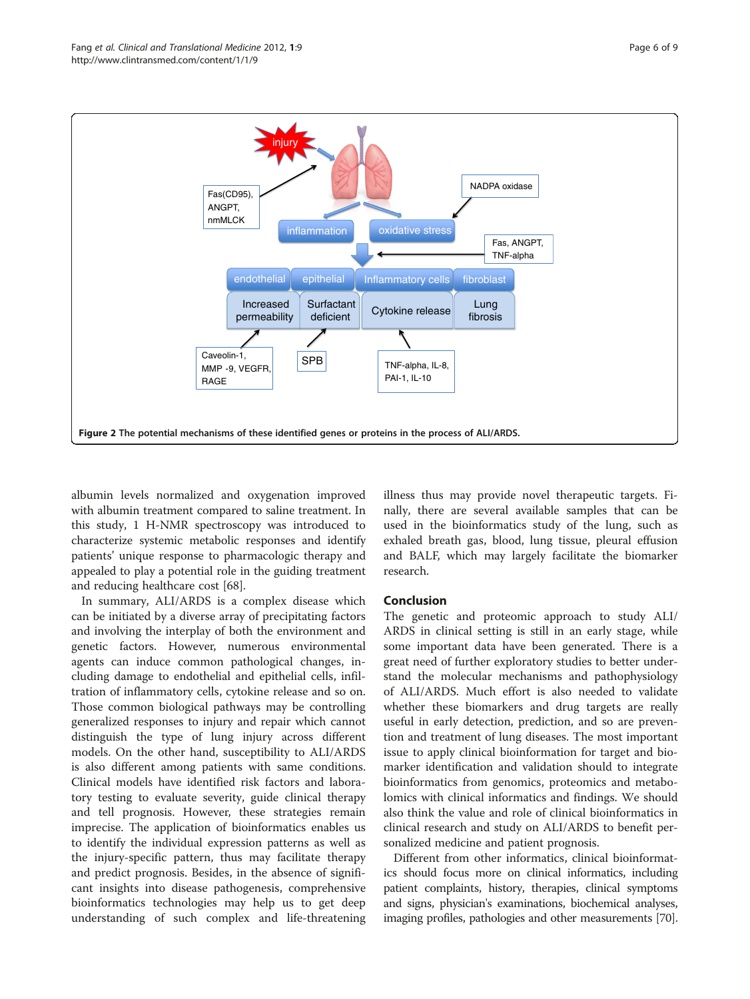<span id="page-5-0"></span>

albumin levels normalized and oxygenation improved with albumin treatment compared to saline treatment. In this study, 1 H-NMR spectroscopy was introduced to characterize systemic metabolic responses and identify patients' unique response to pharmacologic therapy and appealed to play a potential role in the guiding treatment and reducing healthcare cost [\[68\]](#page-7-0).

In summary, ALI/ARDS is a complex disease which can be initiated by a diverse array of precipitating factors and involving the interplay of both the environment and genetic factors. However, numerous environmental agents can induce common pathological changes, including damage to endothelial and epithelial cells, infiltration of inflammatory cells, cytokine release and so on. Those common biological pathways may be controlling generalized responses to injury and repair which cannot distinguish the type of lung injury across different models. On the other hand, susceptibility to ALI/ARDS is also different among patients with same conditions. Clinical models have identified risk factors and laboratory testing to evaluate severity, guide clinical therapy and tell prognosis. However, these strategies remain imprecise. The application of bioinformatics enables us to identify the individual expression patterns as well as the injury-specific pattern, thus may facilitate therapy and predict prognosis. Besides, in the absence of significant insights into disease pathogenesis, comprehensive bioinformatics technologies may help us to get deep understanding of such complex and life-threatening

illness thus may provide novel therapeutic targets. Finally, there are several available samples that can be used in the bioinformatics study of the lung, such as exhaled breath gas, blood, lung tissue, pleural effusion and BALF, which may largely facilitate the biomarker research.

# **Conclusion**

The genetic and proteomic approach to study ALI/ ARDS in clinical setting is still in an early stage, while some important data have been generated. There is a great need of further exploratory studies to better understand the molecular mechanisms and pathophysiology of ALI/ARDS. Much effort is also needed to validate whether these biomarkers and drug targets are really useful in early detection, prediction, and so are prevention and treatment of lung diseases. The most important issue to apply clinical bioinformation for target and biomarker identification and validation should to integrate bioinformatics from genomics, proteomics and metabolomics with clinical informatics and findings. We should also think the value and role of clinical bioinformatics in clinical research and study on ALI/ARDS to benefit personalized medicine and patient prognosis.

Different from other informatics, clinical bioinformatics should focus more on clinical informatics, including patient complaints, history, therapies, clinical symptoms and signs, physician's examinations, biochemical analyses, imaging profiles, pathologies and other measurements [\[70](#page-8-0)].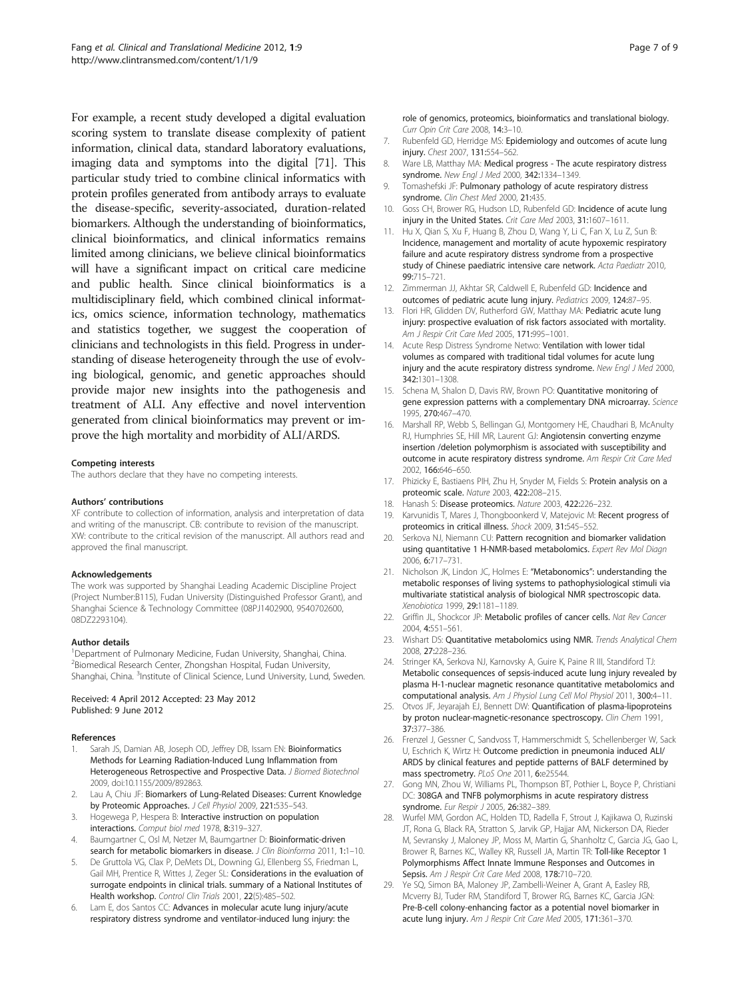<span id="page-6-0"></span>For example, a recent study developed a digital evaluation scoring system to translate disease complexity of patient information, clinical data, standard laboratory evaluations, imaging data and symptoms into the digital [\[71](#page-8-0)]. This particular study tried to combine clinical informatics with protein profiles generated from antibody arrays to evaluate the disease-specific, severity-associated, duration-related biomarkers. Although the understanding of bioinformatics, clinical bioinformatics, and clinical informatics remains limited among clinicians, we believe clinical bioinformatics will have a significant impact on critical care medicine and public health. Since clinical bioinformatics is a multidisciplinary field, which combined clinical informatics, omics science, information technology, mathematics and statistics together, we suggest the cooperation of clinicians and technologists in this field. Progress in understanding of disease heterogeneity through the use of evolving biological, genomic, and genetic approaches should provide major new insights into the pathogenesis and treatment of ALI. Any effective and novel intervention generated from clinical bioinformatics may prevent or improve the high mortality and morbidity of ALI/ARDS.

#### Competing interests

The authors declare that they have no competing interests.

#### Authors' contributions

XF contribute to collection of information, analysis and interpretation of data and writing of the manuscript. CB: contribute to revision of the manuscript. XW: contribute to the critical revision of the manuscript. All authors read and approved the final manuscript.

#### Acknowledgements

The work was supported by Shanghai Leading Academic Discipline Project (Project Number:B115), Fudan University (Distinguished Professor Grant), and Shanghai Science & Technology Committee (08PJ1402900, 9540702600, 08DZ2293104).

#### Author details

<sup>1</sup>Department of Pulmonary Medicine, Fudan University, Shanghai, China. 2 Biomedical Research Center, Zhongshan Hospital, Fudan University, Shanghai, China. <sup>3</sup>Institute of Clinical Science, Lund University, Lund, Sweden.

#### Received: 4 April 2012 Accepted: 23 May 2012 Published: 9 June 2012

#### References

- 1. Sarah JS, Damian AB, Joseph OD, Jeffrey DB, Issam EN: Bioinformatics Methods for Learning Radiation-Induced Lung Inflammation from Heterogeneous Retrospective and Prospective Data. J Biomed Biotechnol 2009, doi:[10.1155/2009/892863.](http://dx.doi.org/10.1155/2009/892863)
- 2. Lau A, Chiu JF: Biomarkers of Lung-Related Diseases: Current Knowledge by Proteomic Approaches. J Cell Physiol 2009, 221:535–543.
- 3. Hogewega P, Hespera B: Interactive instruction on population interactions. Comput biol med 1978, 8:319–327.
- 4. Baumgartner C, Osl M, Netzer M, Baumgartner D: Bioinformatic-driven search for metabolic biomarkers in disease. J Clin Bioinforma 2011, 1:1-10.
- 5. De Gruttola VG, Clax P, DeMets DL, Downing GJ, Ellenberg SS, Friedman L, Gail MH, Prentice R, Wittes J, Zeger SL: Considerations in the evaluation of surrogate endpoints in clinical trials. summary of a National Institutes of Health workshop. Control Clin Trials 2001, 22(5):485–502.
- 6. Lam E, dos Santos CC: Advances in molecular acute lung injury/acute respiratory distress syndrome and ventilator-induced lung injury: the

role of genomics, proteomics, bioinformatics and translational biology. Curr Opin Crit Care 2008, 14:3–10.

- 7. Rubenfeld GD, Herridge MS: Epidemiology and outcomes of acute lung injury. Chest 2007, 131:554–562.
- 8. Ware LB, Matthay MA: Medical progress The acute respiratory distress syndrome. New Engl J Med 2000, 342:1334–1349.
- 9. Tomashefski JF: Pulmonary pathology of acute respiratory distress syndrome. Clin Chest Med 2000, 21:435.
- 10. Goss CH, Brower RG, Hudson LD, Rubenfeld GD: Incidence of acute lung injury in the United States. Crit Care Med 2003, 31:1607–1611.
- 11. Hu X, Qian S, Xu F, Huang B, Zhou D, Wang Y, Li C, Fan X, Lu Z, Sun B: Incidence, management and mortality of acute hypoxemic respiratory failure and acute respiratory distress syndrome from a prospective study of Chinese paediatric intensive care network. Acta Paediatr 2010, 99:715–721.
- 12. Zimmerman JJ, Akhtar SR, Caldwell E, Rubenfeld GD: Incidence and outcomes of pediatric acute lung injury. Pediatrics 2009, 124:87–95.
- 13. Flori HR, Glidden DV, Rutherford GW, Matthay MA: Pediatric acute lung injury: prospective evaluation of risk factors associated with mortality. Am J Respir Crit Care Med 2005, 171:995–1001.
- 14. Acute Resp Distress Syndrome Netwo: Ventilation with lower tidal volumes as compared with traditional tidal volumes for acute lung injury and the acute respiratory distress syndrome. New Engl J Med 2000, 342:1301–1308.
- 15. Schena M, Shalon D, Davis RW, Brown PO: Quantitative monitoring of gene expression patterns with a complementary DNA microarray. Science 1995, 270:467–470.
- 16. Marshall RP, Webb S, Bellingan GJ, Montgomery HE, Chaudhari B, McAnulty RJ, Humphries SE, Hill MR, Laurent GJ: Angiotensin converting enzyme insertion /deletion polymorphism is associated with susceptibility and outcome in acute respiratory distress syndrome. Am Respir Crit Care Med 2002, 166:646–650.
- 17. Phizicky E, Bastiaens PIH, Zhu H, Snyder M, Fields S: Protein analysis on a proteomic scale. Nature 2003, 422:208–215.
- 18. Hanash S: Disease proteomics. Nature 2003, 422:226–232.
- 19. Karvunidis T, Mares J, Thongboonkerd V, Matejovic M: Recent progress of proteomics in critical illness. Shock 2009, 31:545–552.
- 20. Serkova NJ, Niemann CU: Pattern recognition and biomarker validation using quantitative 1 H-NMR-based metabolomics. Expert Rev Mol Diagn 2006, 6:717–731.
- 21. Nicholson JK, Lindon JC, Holmes E: "Metabonomics": understanding the metabolic responses of living systems to pathophysiological stimuli via multivariate statistical analysis of biological NMR spectroscopic data. Xenobiotica 1999, 29:1181–1189.
- 22. Griffin JL, Shockcor JP: Metabolic profiles of cancer cells. Nat Rev Cancer 2004, 4:551–561.
- 23. Wishart DS: Quantitative metabolomics using NMR. Trends Analytical Chem 2008, 27:228–236.
- 24. Stringer KA, Serkova NJ, Karnovsky A, Guire K, Paine R III, Standiford TJ: Metabolic consequences of sepsis-induced acute lung injury revealed by plasma H-1-nuclear magnetic resonance quantitative metabolomics and computational analysis. Am J Physiol Lung Cell Mol Physiol 2011, 300:4–11.
- 25. Otvos JF, Jeyarajah EJ, Bennett DW: Quantification of plasma-lipoproteins by proton nuclear-magnetic-resonance spectroscopy. Clin Chem 1991, 37:377–386.
- 26. Frenzel J, Gessner C, Sandvoss T, Hammerschmidt S, Schellenberger W, Sack U, Eschrich K, Wirtz H: Outcome prediction in pneumonia induced ALI/ ARDS by clinical features and peptide patterns of BALF determined by mass spectrometry. PLoS One 2011, 6:e25544.
- 27. Gong MN, Zhou W, Williams PL, Thompson BT, Pothier L, Boyce P, Christiani DC: 308GA and TNFB polymorphisms in acute respiratory distress syndrome. Eur Respir J 2005, 26:382-389.
- 28. Wurfel MM, Gordon AC, Holden TD, Radella F, Strout J, Kajikawa O, Ruzinski JT, Rona G, Black RA, Stratton S, Jarvik GP, Hajjar AM, Nickerson DA, Rieder M, Sevransky J, Maloney JP, Moss M, Martin G, Shanholtz C, Garcia JG, Gao L, Brower R, Barnes KC, Walley KR, Russell JA, Martin TR: Toll-like Receptor 1 Polymorphisms Affect Innate Immune Responses and Outcomes in Sepsis. Am J Respir Crit Care Med 2008, 178:710-720.
- 29. Ye SQ, Simon BA, Maloney JP, Zambelli-Weiner A, Grant A, Easley RB, Mcverry BJ, Tuder RM, Standiford T, Brower RG, Barnes KC, Garcia JGN: Pre-B-cell colony-enhancing factor as a potential novel biomarker in acute lung injury. Am J Respir Crit Care Med 2005, 171:361–370.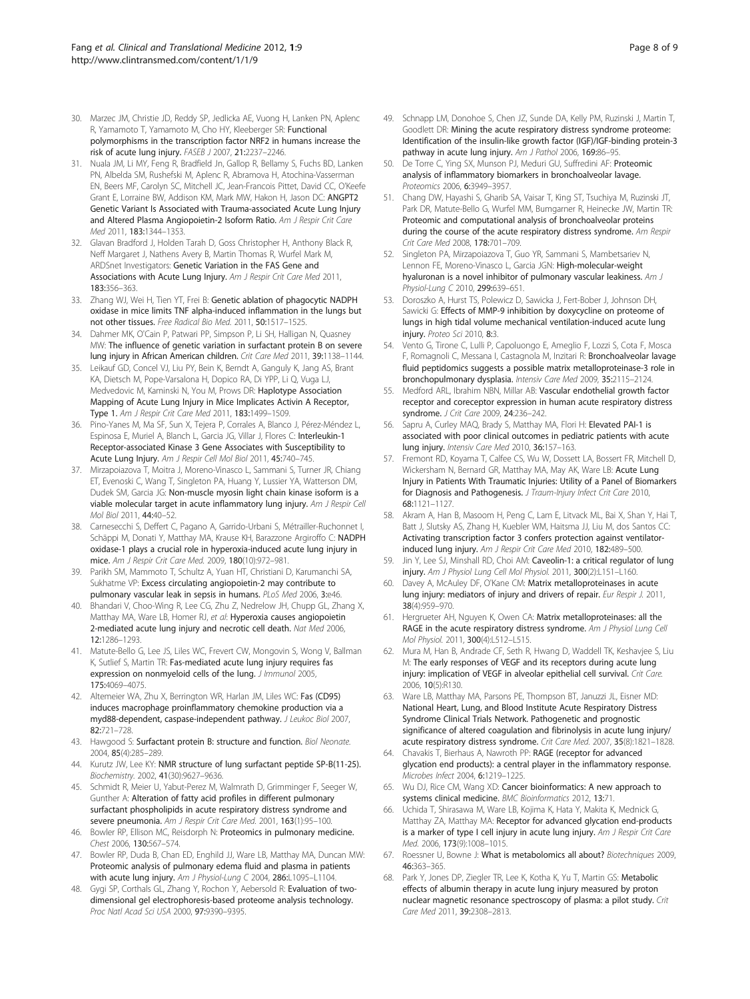- <span id="page-7-0"></span>30. Marzec JM, Christie JD, Reddy SP, Jedlicka AE, Vuong H, Lanken PN, Aplenc R, Yamamoto T, Yamamoto M, Cho HY, Kleeberger SR: Functional polymorphisms in the transcription factor NRF2 in humans increase the risk of acute lung injury. FASEB J 2007, 21:2237–2246.
- 31. Nuala JM, Li MY, Feng R, Bradfield Jn, Gallop R, Bellamy S, Fuchs BD, Lanken PN, Albelda SM, Rushefski M, Aplenc R, Abramova H, Atochina-Vasserman EN, Beers MF, Carolyn SC, Mitchell JC, Jean-Francois Pittet, David CC, O'Keefe Grant E, Lorraine BW, Addison KM, Mark MW, Hakon H, Jason DC: ANGPT2 Genetic Variant Is Associated with Trauma-associated Acute Lung Injury and Altered Plasma Angiopoietin-2 Isoform Ratio. Am J Respir Crit Care Med 2011, 183:1344–1353.
- 32. Glavan Bradford J, Holden Tarah D, Goss Christopher H, Anthony Black R, Neff Margaret J, Nathens Avery B, Martin Thomas R, Wurfel Mark M, ARDSnet Investigators: Genetic Variation in the FAS Gene and Associations with Acute Lung Injury. Am J Respir Crit Care Med 2011, 183:356–363.
- 33. Zhang WJ, Wei H, Tien YT, Frei B: Genetic ablation of phagocytic NADPH oxidase in mice limits TNF alpha-induced inflammation in the lungs but not other tissues. Free Radical Bio Med. 2011, 50:1517–1525.
- 34. Dahmer MK, O'Cain P, Patwari PP, Simpson P, Li SH, Halligan N, Quasney MW: The influence of genetic variation in surfactant protein B on severe lung injury in African American children. Crit Care Med 2011, 39:1138–1144.
- 35. Leikauf GD, Concel VJ, Liu PY, Bein K, Berndt A, Ganguly K, Jang AS, Brant KA, Dietsch M, Pope-Varsalona H, Dopico RA, Di YPP, Li Q, Vuga LJ, Medvedovic M, Kaminski N, You M, Prows DR: Haplotype Association Mapping of Acute Lung Injury in Mice Implicates Activin A Receptor, Type 1. Am J Respir Crit Care Med 2011, 183:1499–1509.
- 36. Pino-Yanes M, Ma SF, Sun X, Tejera P, Corrales A, Blanco J, Pérez-Méndez L, Espinosa E, Muriel A, Blanch L, Garcia JG, Villar J, Flores C: Interleukin-1 Receptor-associated Kinase 3 Gene Associates with Susceptibility to Acute Lung Injury. Am J Respir Cell Mol Biol 2011, 45:740–745.
- 37. Mirzapoiazova T, Moitra J, Moreno-Vinasco L, Sammani S, Turner JR, Chiang ET, Evenoski C, Wang T, Singleton PA, Huang Y, Lussier YA, Watterson DM, Dudek SM, Garcia JG: Non-muscle myosin light chain kinase isoform is a viable molecular target in acute inflammatory lung injury. Am J Respir Cell Mol Biol 2011, 44:40–52.
- 38. Carnesecchi S, Deffert C, Pagano A, Garrido-Urbani S, Métrailler-Ruchonnet I, Schäppi M, Donati Y, Matthay MA, Krause KH, Barazzone Argiroffo C: NADPH oxidase-1 plays a crucial role in hyperoxia-induced acute lung injury in mice. Am J Respir Crit Care Med. 2009, 180(10):972–981.
- 39. Parikh SM, Mammoto T, Schultz A, Yuan HT, Christiani D, Karumanchi SA, Sukhatme VP: Excess circulating angiopoietin-2 may contribute to pulmonary vascular leak in sepsis in humans. PLoS Med 2006, 3:e46.
- 40. Bhandari V, Choo-Wing R, Lee CG, Zhu Z, Nedrelow JH, Chupp GL, Zhang X, Matthay MA, Ware LB, Homer RJ, et al: Hyperoxia causes angiopoietin 2-mediated acute lung injury and necrotic cell death. Nat Med 2006, 12:1286–1293.
- 41. Matute-Bello G, Lee JS, Liles WC, Frevert CW, Mongovin S, Wong V, Ballman K, Sutlief S, Martin TR: Fas-mediated acute lung injury requires fas expression on nonmyeloid cells of the lung. J Immunol 2005, 175:4069–4075.
- 42. Altemeier WA, Zhu X, Berrington WR, Harlan JM, Liles WC: Fas (CD95) induces macrophage proinflammatory chemokine production via a myd88-dependent, caspase-independent pathway. J Leukoc Biol 2007, 82:721–728.
- 43. Hawgood S: Surfactant protein B: structure and function. Biol Neonate. 2004, 85(4):285–289.
- 44. Kurutz JW, Lee KY: NMR structure of lung surfactant peptide SP-B(11-25). Biochemistry. 2002, 41(30):9627–9636.
- 45. Schmidt R, Meier U, Yabut-Perez M, Walmrath D, Grimminger F, Seeger W, Gunther A: Alteration of fatty acid profiles in different pulmonary surfactant phospholipids in acute respiratory distress syndrome and severe pneumonia. Am J Respir Crit Care Med. 2001, 163(1):95-100.
- 46. Bowler RP, Ellison MC, Reisdorph N: Proteomics in pulmonary medicine. Chest 2006, 130:567–574.
- 47. Bowler RP, Duda B, Chan ED, Enghild JJ, Ware LB, Matthay MA, Duncan MW: Proteomic analysis of pulmonary edema fluid and plasma in patients with acute lung injury. Am J Physiol-Lung C 2004, 286:L1095-L1104.
- 48. Gygi SP, Corthals GL, Zhang Y, Rochon Y, Aebersold R: Evaluation of twodimensional gel electrophoresis-based proteome analysis technology. Proc Natl Acad Sci USA 2000, 97:9390–9395.
- 49. Schnapp LM, Donohoe S, Chen JZ, Sunde DA, Kelly PM, Ruzinski J, Martin T, Goodlett DR: Mining the acute respiratory distress syndrome proteome: Identification of the insulin-like growth factor (IGF)/IGF-binding protein-3 pathway in acute lung injury. Am J Pathol 2006, 169:86-95.
- 50. De Torre C, Ying SX, Munson PJ, Meduri GU, Suffredini AF: Proteomic analysis of inflammatory biomarkers in bronchoalveolar lavage. Proteomics 2006, 6:3949–3957.
- 51. Chang DW, Hayashi S, Gharib SA, Vaisar T, King ST, Tsuchiya M, Ruzinski JT, Park DR, Matute-Bello G, Wurfel MM, Bumgarner R, Heinecke JW, Martin TR: Proteomic and computational analysis of bronchoalveolar proteins during the course of the acute respiratory distress syndrome. Am Respir Crit Care Med 2008, 178:701–709.
- 52. Singleton PA, Mirzapoiazova T, Guo YR, Sammani S, Mambetsariev N, Lennon FE, Moreno-Vinasco L, Garcia JGN: High-molecular-weight hyaluronan is a novel inhibitor of pulmonary vascular leakiness. Am J Physiol-Lung C 2010, 299:639–651.
- 53. Doroszko A, Hurst TS, Polewicz D, Sawicka J, Fert-Bober J, Johnson DH, Sawicki G: Effects of MMP-9 inhibition by doxycycline on proteome of lungs in high tidal volume mechanical ventilation-induced acute lung injury. Proteo Sci 2010, 8:3.
- 54. Vento G, Tirone C, Lulli P, Capoluongo E, Ameglio F, Lozzi S, Cota F, Mosca F, Romagnoli C, Messana I, Castagnola M, Inzitari R: Bronchoalveolar lavage fluid peptidomics suggests a possible matrix metalloproteinase-3 role in bronchopulmonary dysplasia. Intensiv Care Med 2009, 35:2115–2124.
- 55. Medford ARL, Ibrahim NBN, Millar AB: Vascular endothelial growth factor receptor and coreceptor expression in human acute respiratory distress syndrome. *J Crit Care 2009*, 24:236-242.
- 56. Sapru A, Curley MAQ, Brady S, Matthay MA, Flori H: Elevated PAI-1 is associated with poor clinical outcomes in pediatric patients with acute lung injury. Intensiv Care Med 2010, 36:157–163.
- 57. Fremont RD, Koyama T, Calfee CS, Wu W, Dossett LA, Bossert FR, Mitchell D, Wickersham N, Bernard GR, Matthay MA, May AK, Ware LB: Acute Lung Injury in Patients With Traumatic Injuries: Utility of a Panel of Biomarkers for Diagnosis and Pathogenesis. J Traum-Injury Infect Crit Care 2010, 68:1121–1127.
- 58. Akram A, Han B, Masoom H, Peng C, Lam E, Litvack ML, Bai X, Shan Y, Hai T, Batt J, Slutsky AS, Zhang H, Kuebler WM, Haitsma JJ, Liu M, dos Santos CC: Activating transcription factor 3 confers protection against ventilatorinduced lung injury. Am J Respir Crit Care Med 2010, 182:489–500.
- 59. Jin Y, Lee SJ, Minshall RD, Choi AM: Caveolin-1: a critical regulator of lung injury. Am J Physiol Lung Cell Mol Physiol. 2011, 300(2):L151-L160.
- 60. Davey A, McAuley DF, O'Kane CM: Matrix metalloproteinases in acute lung injury: mediators of injury and drivers of repair. Eur Respir J. 2011, 38(4):959–970.
- 61. Hergrueter AH, Nguyen K, Owen CA: Matrix metalloproteinases: all the RAGE in the acute respiratory distress syndrome. Am J Physiol Lung Cell Mol Physiol. 2011, 300(4):L512–L515.
- 62. Mura M, Han B, Andrade CF, Seth R, Hwang D, Waddell TK, Keshavjee S, Liu M: The early responses of VEGF and its receptors during acute lung injury: implication of VEGF in alveolar epithelial cell survival. Crit Care. 2006, 10(5):R130.
- 63. Ware LB, Matthay MA, Parsons PE, Thompson BT, Januzzi JL, Eisner MD: National Heart, Lung, and Blood Institute Acute Respiratory Distress Syndrome Clinical Trials Network. Pathogenetic and prognostic significance of altered coagulation and fibrinolysis in acute lung injury/ acute respiratory distress syndrome. Crit Care Med. 2007, 35(8):1821–1828.
- 64. Chavakis T, Bierhaus A, Nawroth PP: RAGE (receptor for advanced glycation end products): a central player in the inflammatory response. Microbes Infect 2004, 6:1219–1225.
- 65. Wu DJ, Rice CM, Wang XD: Cancer bioinformatics: A new approach to systems clinical medicine. BMC Bioinformatics 2012, 13:71.
- 66. Uchida T, Shirasawa M, Ware LB, Kojima K, Hata Y, Makita K, Mednick G, Matthay ZA, Matthay MA: Receptor for advanced glycation end-products is a marker of type I cell injury in acute lung injury. Am J Respir Crit Care Med. 2006, 173(9):1008–1015.
- 67. Roessner U, Bowne J: What is metabolomics all about? Biotechniques 2009, 46:363–365.
- 68. Park Y, Jones DP, Ziegler TR, Lee K, Kotha K, Yu T, Martin GS: Metabolic effects of albumin therapy in acute lung injury measured by proton nuclear magnetic resonance spectroscopy of plasma: a pilot study. Crit Care Med 2011, 39:2308–2813.